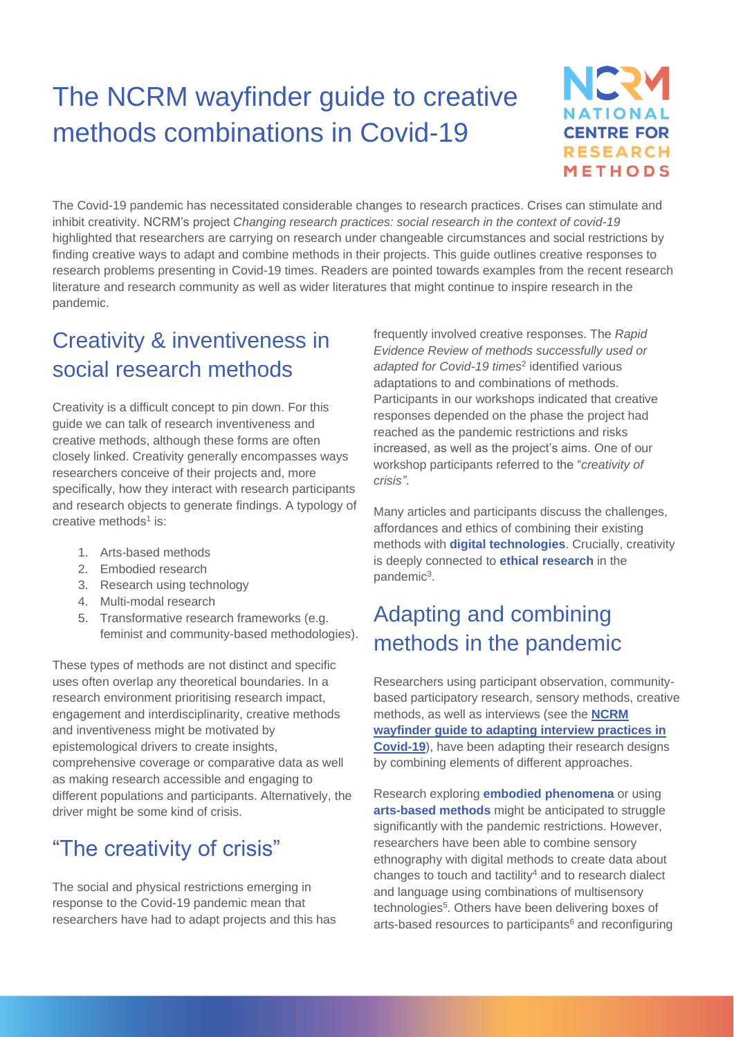# The NCRM wayfinder guide to creative methods combinations in Covid-19



The Covid-19 pandemic has necessitated considerable changes to research practices. Crises can stimulate and inhibit creativity. NCRM's project *Changing research practices: social research in the context of covid-19* highlighted that researchers are carrying on research under changeable circumstances and social restrictions by finding creative ways to adapt and combine methods in their projects. This guide outlines creative responses to research problems presenting in Covid-19 times. Readers are pointed towards examples from the recent research literature and research community as well as wider literatures that might continue to inspire research in the pandemic.

### Creativity & inventiveness in social research methods

Creativity is a difficult concept to pin down. For this guide we can talk of research inventiveness and creative methods, although these forms are often closely linked. Creativity generally encompasses ways researchers conceive of their projects and, more specifically, how they interact with research participants and research objects to generate findings. A typology of creative methods<sup>1</sup> is:

- 1. Arts-based methods
- 2. Embodied research
- 3. Research using technology
- 4. Multi-modal research
- 5. Transformative research frameworks (e.g. feminist and community-based methodologies).

These types of methods are not distinct and specific uses often overlap any theoretical boundaries. In a research environment prioritising research impact, engagement and interdisciplinarity, creative methods and inventiveness might be motivated by epistemological drivers to create insights, comprehensive coverage or comparative data as well as making research accessible and engaging to different populations and participants. Alternatively, the driver might be some kind of crisis.

### "The creativity of crisis"

The social and physical restrictions emerging in response to the Covid-19 pandemic mean that researchers have had to adapt projects and this has frequently involved creative responses. The *Rapid Evidence Review of methods successfully used or adapted for Covid-19 times*<sup>2</sup> identified various adaptations to and combinations of methods. Participants in our workshops indicated that creative responses depended on the phase the project had reached as the pandemic restrictions and risks increased, as well as the project's aims. One of our workshop participants referred to the "*creativity of crisis"*.

Many articles and participants discuss the challenges, affordances and ethics of combining their existing methods with **digital technologies**. Crucially, creativity is deeply connected to **ethical research** in the pandemic<sup>3</sup>.

## Adapting and combining methods in the pandemic

Researchers using participant observation, communitybased participatory research, sensory methods, creative methods, as well as interviews (see the **[NCRM](http://eprints.ncrm.ac.uk/4370/)  [wayfinder guide to adapting interview practices in](http://eprints.ncrm.ac.uk/4370/)  [Covid-19](http://eprints.ncrm.ac.uk/4370/)**), have been adapting their research designs by combining elements of different approaches.

Research exploring **embodied phenomena** or using **arts-based methods** might be anticipated to struggle significantly with the pandemic restrictions. However, researchers have been able to combine sensory ethnography with digital methods to create data about changes to touch and tactility $4$  and to research dialect and language using combinations of multisensory technologies 5 . Others have been delivering boxes of arts-based resources to participants $6$  and reconfiguring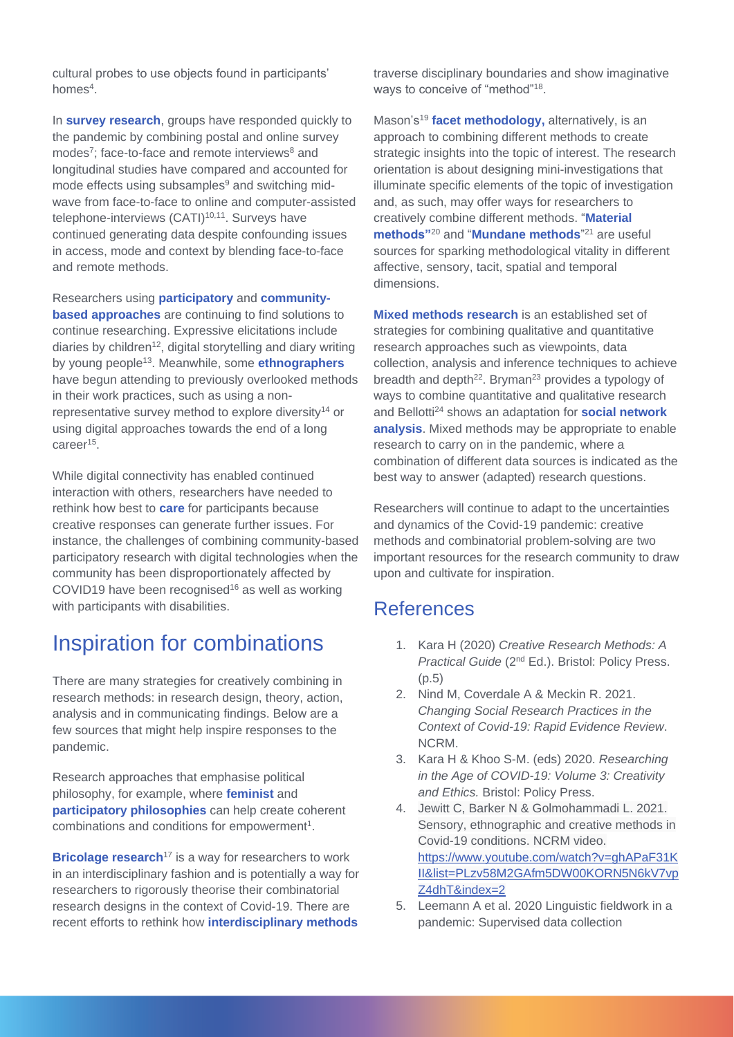cultural probes to use objects found in participants' homes<sup>4</sup>.

In **survey research**, groups have responded quickly to the pandemic by combining postal and online survey modes<sup>7</sup>; face-to-face and remote interviews<sup>8</sup> and longitudinal studies have compared and accounted for mode effects using subsamples $9$  and switching midwave from face-to-face to online and computer-assisted telephone-interviews (CATI)<sup>10,11</sup>. Surveys have continued generating data despite confounding issues in access, mode and context by blending face-to-face and remote methods.

Researchers using **participatory** and **communitybased approaches** are continuing to find solutions to continue researching. Expressive elicitations include diaries by children<sup>12</sup>, digital storytelling and diary writing by young people<sup>13</sup> . Meanwhile, some **ethnographers** have begun attending to previously overlooked methods in their work practices, such as using a nonrepresentative survey method to explore diversity<sup>14</sup> or using digital approaches towards the end of a long career<sup>15</sup>.

While digital connectivity has enabled continued interaction with others, researchers have needed to rethink how best to **care** for participants because creative responses can generate further issues. For instance, the challenges of combining community-based participatory research with digital technologies when the community has been disproportionately affected by COVID19 have been recognised<sup>16</sup> as well as working with participants with disabilities.

#### Inspiration for combinations

There are many strategies for creatively combining in research methods: in research design, theory, action, analysis and in communicating findings. Below are a few sources that might help inspire responses to the pandemic.

Research approaches that emphasise political philosophy, for example, where **feminist** and **participatory philosophies** can help create coherent combinations and conditions for empowerment<sup>1</sup>.

**Bricolage research<sup>17</sup>** is a way for researchers to work in an interdisciplinary fashion and is potentially a way for researchers to rigorously theorise their combinatorial research designs in the context of Covid-19. There are recent efforts to rethink how **interdisciplinary methods**

traverse disciplinary boundaries and show imaginative ways to conceive of "method"<sup>18</sup>.

Mason's<sup>19</sup> **facet methodology**, alternatively, is an approach to combining different methods to create strategic insights into the topic of interest. The research orientation is about designing mini-investigations that illuminate specific elements of the topic of investigation and, as such, may offer ways for researchers to creatively combine different methods. "**Material methods"**<sup>20</sup> and "**Mundane methods**" <sup>21</sup> are useful sources for sparking methodological vitality in different affective, sensory, tacit, spatial and temporal dimensions.

**Mixed methods research** is an established set of strategies for combining qualitative and quantitative research approaches such as viewpoints, data collection, analysis and inference techniques to achieve breadth and depth<sup>22</sup>. Bryman<sup>23</sup> provides a typology of ways to combine quantitative and qualitative research and Bellotti<sup>24</sup> shows an adaptation for **social network analysis**. Mixed methods may be appropriate to enable research to carry on in the pandemic, where a combination of different data sources is indicated as the best way to answer (adapted) research questions.

Researchers will continue to adapt to the uncertainties and dynamics of the Covid-19 pandemic: creative methods and combinatorial problem-solving are two important resources for the research community to draw upon and cultivate for inspiration.

#### References

- 1. Kara H (2020) *Creative Research Methods: A Practical Guide* (2nd Ed.). Bristol: Policy Press. (p.5)
- 2. Nind M, Coverdale A & Meckin R. 2021. *Changing Social Research Practices in the Context of Covid-19: Rapid Evidence Review*. NCRM.
- 3. Kara H & Khoo S-M. (eds) 2020. *Researching in the Age of COVID-19: Volume 3: Creativity and Ethics.* Bristol: Policy Press.
- 4. Jewitt C, Barker N & Golmohammadi L. 2021. Sensory, ethnographic and creative methods in Covid-19 conditions. NCRM video. [https://www.youtube.com/watch?v=ghAPaF31K](https://www.youtube.com/watch?v=ghAPaF31KII&list=PLzv58M2GAfm5DW00KORN5N6kV7vpZ4dhT&index=2) [II&list=PLzv58M2GAfm5DW00KORN5N6kV7vp](https://www.youtube.com/watch?v=ghAPaF31KII&list=PLzv58M2GAfm5DW00KORN5N6kV7vpZ4dhT&index=2) [Z4dhT&index=2](https://www.youtube.com/watch?v=ghAPaF31KII&list=PLzv58M2GAfm5DW00KORN5N6kV7vpZ4dhT&index=2)
- 5. Leemann A et al. 2020 Linguistic fieldwork in a pandemic: Supervised data collection